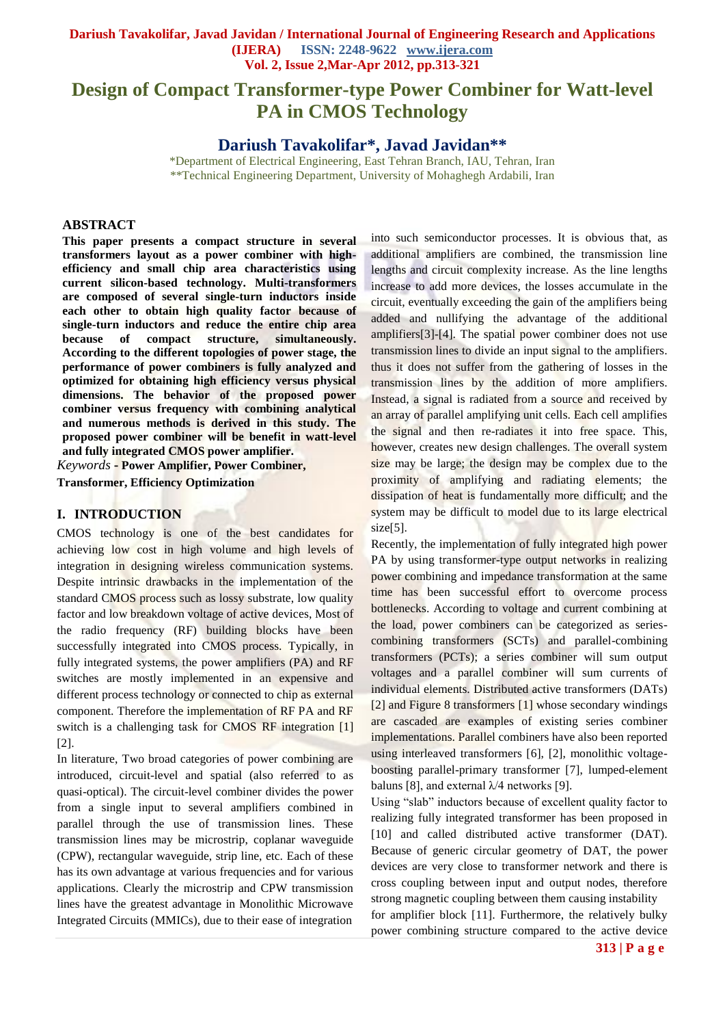# **Design of Compact Transformer-type Power Combiner for Watt-level PA in CMOS Technology**

# **Dariush Tavakolifar\*, Javad Javidan\*\***

\*Department of Electrical Engineering, East Tehran Branch, IAU, Tehran, Iran \*\*Technical Engineering Department, University of Mohaghegh Ardabili, Iran

#### **ABSTRACT**

**This paper presents a compact structure in several transformers layout as a power combiner with highefficiency and small chip area characteristics using current silicon-based technology. Multi-transformers are composed of several single-turn inductors inside each other to obtain high quality factor because of single-turn inductors and reduce the entire chip area because of compact structure, simultaneously. According to the different topologies of power stage, the performance of power combiners is fully analyzed and optimized for obtaining high efficiency versus physical dimensions. The behavior of the proposed power combiner versus frequency with combining analytical and numerous methods is derived in this study. The proposed power combiner will be benefit in watt-level and fully integrated CMOS power amplifier***.*

*Keywords* **- Power Amplifier, Power Combiner, Transformer, Efficiency Optimization**

#### **I. INTRODUCTION**

CMOS technology is one of the best candidates for achieving low cost in high volume and high levels of integration in designing wireless communication systems. Despite intrinsic drawbacks in the implementation of the standard CMOS process such as lossy substrate, low quality factor and low breakdown voltage of active devices, Most of the radio frequency (RF) building blocks have been successfully integrated into CMOS process. Typically, in fully integrated systems, the power amplifiers (PA) and RF switches are mostly implemented in an expensive and different process technology or connected to chip as external component. Therefore the implementation of RF PA and RF switch is a challenging task for CMOS RF integration [1] [2].

In literature, Two broad categories of power combining are introduced, circuit-level and spatial (also referred to as quasi-optical). The circuit-level combiner divides the power from a single input to several amplifiers combined in parallel through the use of transmission lines. These transmission lines may be microstrip, coplanar waveguide (CPW), rectangular waveguide, strip line, etc. Each of these has its own advantage at various frequencies and for various applications. Clearly the microstrip and CPW transmission lines have the greatest advantage in Monolithic Microwave Integrated Circuits (MMICs), due to their ease of integration into such semiconductor processes. It is obvious that, as additional amplifiers are combined, the transmission line lengths and circuit complexity increase. As the line lengths increase to add more devices, the losses accumulate in the circuit, eventually exceeding the gain of the amplifiers being added and nullifying the advantage of the additional amplifiers[3]-[4]. The spatial power combiner does not use transmission lines to divide an input signal to the amplifiers. thus it does not suffer from the gathering of losses in the transmission lines by the addition of more amplifiers. Instead, a signal is radiated from a source and received by an array of parallel amplifying unit cells. Each cell amplifies the signal and then re-radiates it into free space. This, however, creates new design challenges. The overall system size may be large; the design may be complex due to the proximity of amplifying and radiating elements; the dissipation of heat is fundamentally more difficult; and the system may be difficult to model due to its large electrical size<sup>[5]</sup>.

Recently, the implementation of fully integrated high power PA by using transformer-type output networks in realizing power combining and impedance transformation at the same time has been successful effort to overcome process bottlenecks. According to voltage and current combining at the load, power combiners can be categorized as seriescombining transformers (SCTs) and parallel-combining transformers (PCTs); a series combiner will sum output voltages and a parallel combiner will sum currents of individual elements. Distributed active transformers (DATs) [2] and Figure 8 transformers [1] whose secondary windings are cascaded are examples of existing series combiner implementations. Parallel combiners have also been reported using interleaved transformers [6], [2], monolithic voltageboosting parallel-primary transformer [7], lumped-element baluns [8], and external  $\lambda$ /4 networks [9].

Using "slab" inductors because of excellent quality factor to realizing fully integrated transformer has been proposed in [10] and called distributed active transformer (DAT). Because of generic circular geometry of DAT, the power devices are very close to transformer network and there is cross coupling between input and output nodes, therefore strong magnetic coupling between them causing instability for amplifier block [11]. Furthermore, the relatively bulky power combining structure compared to the active device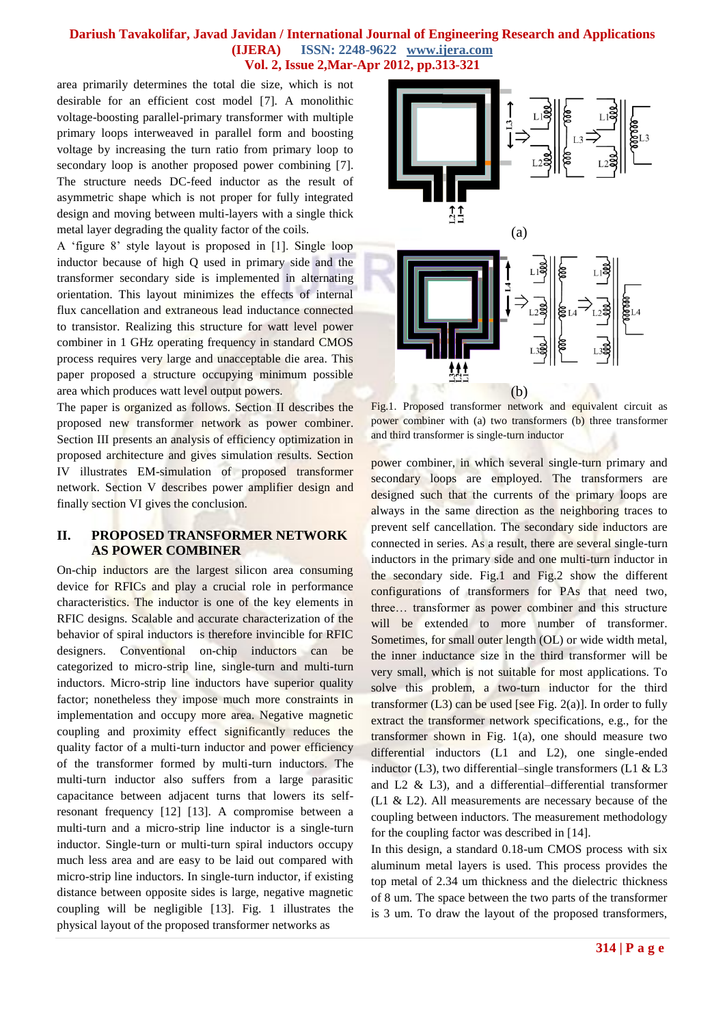area primarily determines the total die size, which is not desirable for an efficient cost model [7]. A monolithic voltage-boosting parallel-primary transformer with multiple primary loops interweaved in parallel form and boosting voltage by increasing the turn ratio from primary loop to secondary loop is another proposed power combining [7]. The structure needs DC-feed inductor as the result of asymmetric shape which is not proper for fully integrated design and moving between multi-layers with a single thick metal layer degrading the quality factor of the coils.

A ‗figure 8' style layout is proposed in [1]. Single loop inductor because of high Q used in primary side and the transformer secondary side is implemented in alternating orientation. This layout minimizes the effects of internal flux cancellation and extraneous lead inductance connected to transistor. Realizing this structure for watt level power combiner in 1 GHz operating frequency in standard CMOS process requires very large and unacceptable die area. This paper proposed a structure occupying minimum possible area which produces watt level output powers.

The paper is organized as follows. Section II describes the proposed new transformer network as power combiner. Section III presents an analysis of efficiency optimization in proposed architecture and gives simulation results. Section IV illustrates EM-simulation of proposed transformer network. Section V describes power amplifier design and finally section VI gives the conclusion.

## **II. PROPOSED TRANSFORMER NETWORK AS POWER COMBINER**

On-chip inductors are the largest silicon area consuming device for RFICs and play a crucial role in performance characteristics. The inductor is one of the key elements in RFIC designs. Scalable and accurate characterization of the behavior of spiral inductors is therefore invincible for RFIC designers. Conventional on-chip inductors can be categorized to micro-strip line, single-turn and multi-turn inductors. Micro-strip line inductors have superior quality factor; nonetheless they impose much more constraints in implementation and occupy more area. Negative magnetic coupling and proximity effect significantly reduces the quality factor of a multi-turn inductor and power efficiency of the transformer formed by multi-turn inductors. The multi-turn inductor also suffers from a large parasitic capacitance between adjacent turns that lowers its selfresonant frequency [12] [13]. A compromise between a multi-turn and a micro-strip line inductor is a single-turn inductor. Single-turn or multi-turn spiral inductors occupy much less area and are easy to be laid out compared with micro-strip line inductors. In single-turn inductor, if existing distance between opposite sides is large, negative magnetic coupling will be negligible [13]. Fig. 1 illustrates the physical layout of the proposed transformer networks as



Fig.1. Proposed transformer network and equivalent circuit as power combiner with (a) two transformers (b) three transformer and third transformer is single-turn inductor

power combiner, in which several single-turn primary and secondary loops are employed. The transformers are designed such that the currents of the primary loops are always in the same direction as the neighboring traces to prevent self cancellation. The secondary side inductors are connected in series. As a result, there are several single-turn inductors in the primary side and one multi-turn inductor in the secondary side. Fig.1 and Fig.2 show the different configurations of transformers for PAs that need two, three… transformer as power combiner and this structure will be extended to more number of transformer. Sometimes, for small outer length (OL) or wide width metal, the inner inductance size in the third transformer will be very small, which is not suitable for most applications. To solve this problem, a two-turn inductor for the third transformer  $(L3)$  can be used [see Fig. 2(a)]. In order to fully extract the transformer network specifications, e.g., for the transformer shown in Fig. 1(a), one should measure two differential inductors (L1 and L2), one single-ended inductor (L3), two differential–single transformers (L1  $&$  L3 and L2 & L3), and a differential–differential transformer (L1 & L2). All measurements are necessary because of the coupling between inductors. The measurement methodology for the coupling factor was described in [14].

In this design, a standard 0.18-um CMOS process with six aluminum metal layers is used. This process provides the top metal of 2.34 um thickness and the dielectric thickness of 8 um. The space between the two parts of the transformer is 3 um. To draw the layout of the proposed transformers,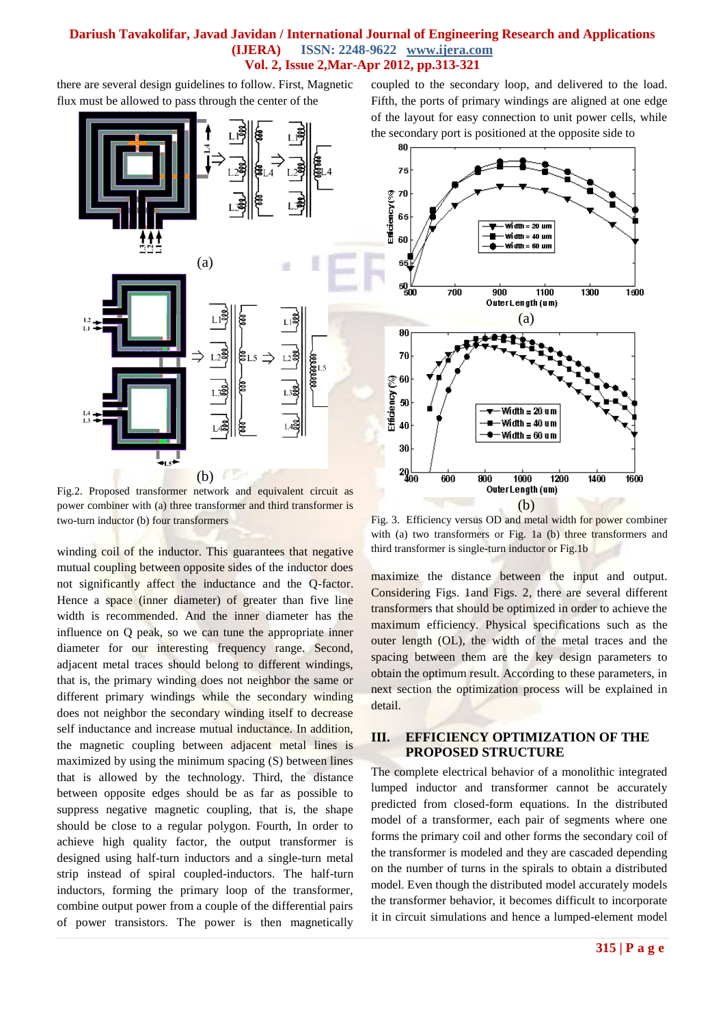there are several design guidelines to follow. First, Magnetic flux must be allowed to pass through the center of the



Fig.2. Proposed transformer network and equivalent circuit as power combiner with (a) three transformer and third transformer is two-turn inductor (b) four transformers

winding coil of the inductor. This guarantees that negative mutual coupling between opposite sides of the inductor does not significantly affect the inductance and the Q-factor. Hence a space (inner diameter) of greater than five line width is recommended. And the inner diameter has the influence on Q peak, so we can tune the appropriate inner diameter for our interesting frequency range. Second, adjacent metal traces should belong to different windings, that is, the primary winding does not neighbor the same or different primary windings while the secondary winding does not neighbor the secondary winding itself to decrease self inductance and increase mutual inductance. In addition, the magnetic coupling between adjacent metal lines is maximized by using the minimum spacing (S) between lines that is allowed by the technology. Third, the distance between opposite edges should be as far as possible to suppress negative magnetic coupling, that is, the shape should be close to a regular polygon. Fourth, In order to achieve high quality factor, the output transformer is designed using half-turn inductors and a single-turn metal strip instead of spiral coupled-inductors. The half-turn inductors, forming the primary loop of the transformer, combine output power from a couple of the differential pairs of power transistors. The power is then magnetically coupled to the secondary loop, and delivered to the load. Fifth, the ports of primary windings are aligned at one edge of the layout for easy connection to unit power cells, while the secondary port is positioned at the opposite side to



Fig. 3. Efficiency versus OD and metal width for power combiner with (a) two transformers or Fig. 1a (b) three transformers and third transformer is single-turn inductor or Fig.1b

maximize the distance between the input and output. Considering Figs. 1and Figs. 2, there are several different transformers that should be optimized in order to achieve the maximum efficiency. Physical specifications such as the outer length (OL), the width of the metal traces and the spacing between them are the key design parameters to obtain the optimum result. According to these parameters, in next section the optimization process will be explained in detail.

#### **III. EFFICIENCY OPTIMIZATION OF THE PROPOSED STRUCTURE**

The complete electrical behavior of a monolithic integrated lumped inductor and transformer cannot be accurately predicted from closed-form equations. In the distributed model of a transformer, each pair of segments where one forms the primary coil and other forms the secondary coil of the transformer is modeled and they are cascaded depending on the number of turns in the spirals to obtain a distributed model. Even though the distributed model accurately models the transformer behavior, it becomes difficult to incorporate it in circuit simulations and hence a lumped-element model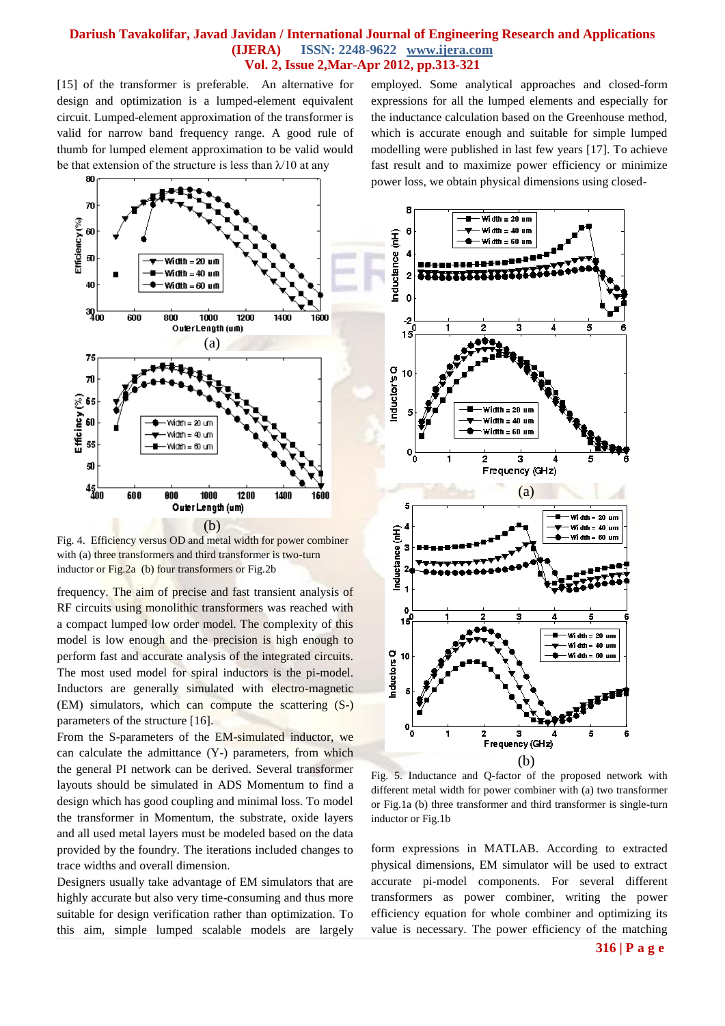[15] of the transformer is preferable. An alternative for design and optimization is a lumped-element equivalent circuit. Lumped-element approximation of the transformer is valid for narrow band frequency range. A good rule of thumb for lumped element approximation to be valid would be that extension of the structure is less than  $\lambda$ /10 at any

80 70 Efficiency(%) 6Í  $\overline{\mathbf{a}}$ Width =  $20 \text{ u}$ m Width  $=40$  um 40 Width = 60 um  $3q_{00}$ 600 800 1000 1200 1400 1600 OuterLength (um) (a) 75  $\overline{\bf n}$  $Efficiency$   $(\%)$ 69 `60  $W$ idth $= 20$  un Width = 40 um  $\overline{\phantom{a}}$ :Width = 60 um Ы  $^{45}_{400}$ 600 800 1000 1200 1400 1600 Outer Length (um) (b)

Fig. 4. Efficiency versus OD and metal width for power combiner with (a) three transformers and third transformer is two-turn inductor or Fig.2a (b) four transformers or Fig.2b

frequency. The aim of precise and fast transient analysis of RF circuits using monolithic transformers was reached with a compact lumped low order model. The complexity of this model is low enough and the precision is high enough to perform fast and accurate analysis of the integrated circuits. The most used model for spiral inductors is the pi-model. Inductors are generally simulated with electro-magnetic (EM) simulators, which can compute the scattering (S-) parameters of the structure [16].

From the S-parameters of the EM-simulated inductor, we can calculate the admittance (Y-) parameters, from which the general PI network can be derived. Several transformer layouts should be simulated in ADS Momentum to find a design which has good coupling and minimal loss. To model the transformer in Momentum, the substrate, oxide layers and all used metal layers must be modeled based on the data provided by the foundry. The iterations included changes to trace widths and overall dimension.

Designers usually take advantage of EM simulators that are highly accurate but also very time-consuming and thus more suitable for design verification rather than optimization. To this aim, simple lumped scalable models are largely employed. Some analytical approaches and closed-form expressions for all the lumped elements and especially for the inductance calculation based on the Greenhouse method, which is accurate enough and suitable for simple lumped modelling were published in last few years [17]. To achieve fast result and to maximize power efficiency or minimize power loss, we obtain physical dimensions using closed-



Fig. 5. Inductance and Q-factor of the proposed network with different metal width for power combiner with (a) two transformer or Fig.1a (b) three transformer and third transformer is single-turn inductor or Fig.1b

form expressions in MATLAB. According to extracted physical dimensions, EM simulator will be used to extract accurate pi-model components. For several different transformers as power combiner, writing the power efficiency equation for whole combiner and optimizing its value is necessary. The power efficiency of the matching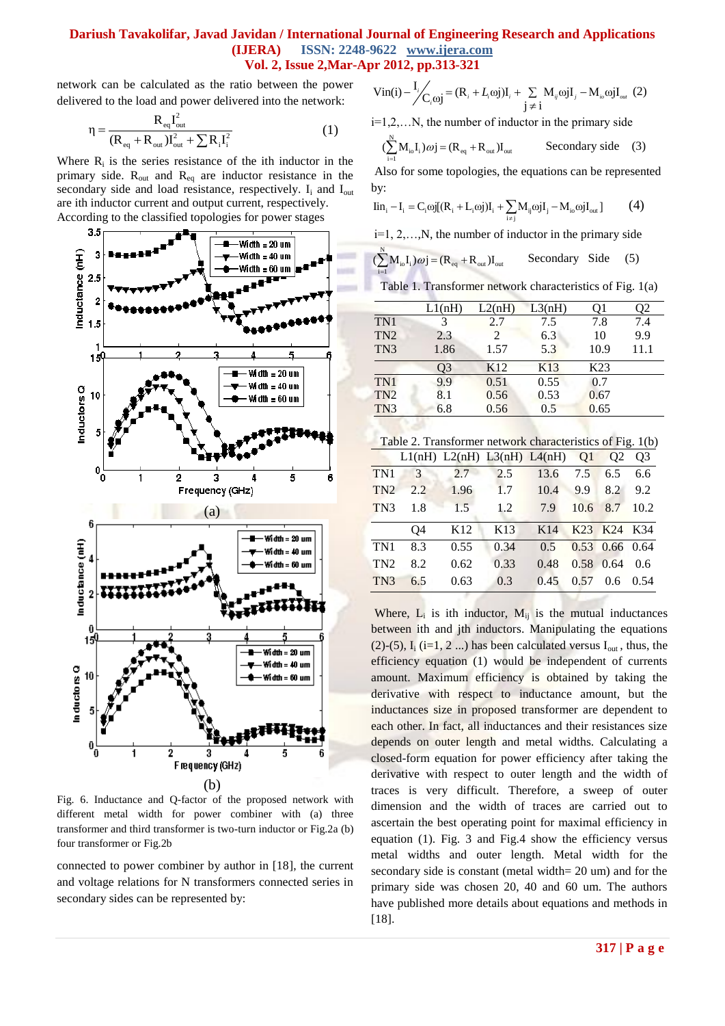network can be calculated as the ratio between the power delivered to the load and power delivered into the network:

$$
\eta = \frac{R_{eq}I_{out}^2}{(R_{eq} + R_{out})I_{out}^2 + \sum R_i I_i^2}
$$
 (1)

Where  $R_i$  is the series resistance of the ith inductor in the primary side.  $R_{out}$  and  $R_{eq}$  are inductor resistance in the secondary side and load resistance, respectively.  $I_i$  and  $I_{out}$ are ith inductor current and output current, respectively. According to the classified topologies for power stages



Fig. 6. Inductance and Q-factor of the proposed network with different metal width for power combiner with (a) three transformer and third transformer is two-turn inductor or Fig.2a (b) four transformer or Fig.2b

connected to power combiner by author in [18], the current and voltage relations for N transformers connected series in secondary sides can be represented by:

$$
\text{Vin}(i) - \frac{I_i}{C_i \omega j} = (R_i + L_i \omega j) I_i + \sum_{j \neq i} M_{ij} \omega j I_j - M_{i\omega} \omega j I_{\omega t} \tag{2}
$$

i=1,2,…N, the number of inductor in the primary side

$$
(\sum_{i=1}^{N} M_{i0} I_i) \omega j = (R_{eq} + R_{out}) I_{out}
$$
 Secondly side (3)

Also for some topologies, the equations can be represented by:

by:  
\n
$$
\text{lin}_{i} - I_{i} = C_{i} \omega j[(R_{i} + L_{i} \omega j)I_{i} + \sum_{i \neq j} M_{ij} \omega jI_{j} - M_{i\omega} \omega jI_{out}] \tag{4}
$$

i=1, 2,…,N, the number of inductor in the primary side

$$
(\sum_{i=1}^{N} M_{io} I_i) \omega j = (R_{eq} + R_{out}) I_{out}
$$
 Secondary Side (5)

Table 1. Transformer network characteristics of Fig. 1(a)

|                 | L1(nH) | L2(nH)          | L3(nH) | O1              | )2   |  |
|-----------------|--------|-----------------|--------|-----------------|------|--|
| TN1             | 3      | 2.7             | 7.5    | 7.8             | 7.4  |  |
| TN <sub>2</sub> | 2.3    | 2               | 6.3    | 10              | 9.9  |  |
| TN <sub>3</sub> | 1.86   | 1.57            | 5.3    | 10.9            | 11.1 |  |
|                 | 93     | K <sub>12</sub> | K13    | K <sub>23</sub> |      |  |
| TN1             | 9.9    | 0.51            | 0.55   | 0.7             |      |  |
| TN <sub>2</sub> | 8.1    | 0.56            | 0.53   | 0.67            |      |  |
| TN <sub>3</sub> | 6.8    | 0.56            | 0.5    | 0.65            |      |  |

| Table 2. Transformer network characteristics of Fig. 1(b) |                                                    |  |  |  |
|-----------------------------------------------------------|----------------------------------------------------|--|--|--|
|                                                           | $11(nH)$ $12(nH)$ $12(nH)$ $14(nH)$ $01$ $02$ $02$ |  |  |  |

|                 |                | L1(nH) L2(nH) L3(nH) L4(nH) Q1 Q2 |      |                 |          |                  | O <sub>3</sub> |
|-----------------|----------------|-----------------------------------|------|-----------------|----------|------------------|----------------|
| TN1             | $\overline{3}$ | 2.7                               | 2.5  | 13.6            | 7.5      | 6.5              | 6.6            |
| TN <sub>2</sub> | 2.2            | 1.96                              | 1.7  | 10.4 9.9        |          | 8.2              | 9.2            |
| TN <sub>3</sub> | 1.8            | 1.5                               | 1.2  | 7.9             | 10.6 8.7 |                  | 10.2           |
|                 | O4             | K <sub>12</sub>                   | K13  | K <sub>14</sub> |          | K23 K24 K34      |                |
| TN <sub>1</sub> | 8.3            | 0.55                              | 0.34 | 0.5             |          | $0.53$ 0.66 0.64 |                |
| TN <sub>2</sub> | 8.2            | 0.62                              | 0.33 | 0.48            |          | 0.58 0.64        | 0.6            |
| TN <sub>3</sub> | 6.5            | 0.63                              | 0.3  | 0.45            | 0.57     | $0.6^{\circ}$    | 0.54           |

Where,  $L_i$  is ith inductor,  $M_{ij}$  is the mutual inductances between ith and jth inductors. Manipulating the equations (2)-(5),  $I_i$  (i=1, 2 ...) has been calculated versus  $I_{out}$ , thus, the efficiency equation (1) would be independent of currents amount. Maximum efficiency is obtained by taking the derivative with respect to inductance amount, but the inductances size in proposed transformer are dependent to each other. In fact, all inductances and their resistances size depends on outer length and metal widths. Calculating a closed-form equation for power efficiency after taking the derivative with respect to outer length and the width of traces is very difficult. Therefore, a sweep of outer dimension and the width of traces are carried out to ascertain the best operating point for maximal efficiency in equation (1). Fig. 3 and Fig.4 show the efficiency versus metal widths and outer length. Metal width for the secondary side is constant (metal width= 20 um) and for the primary side was chosen 20, 40 and 60 um. The authors have published more details about equations and methods in [18].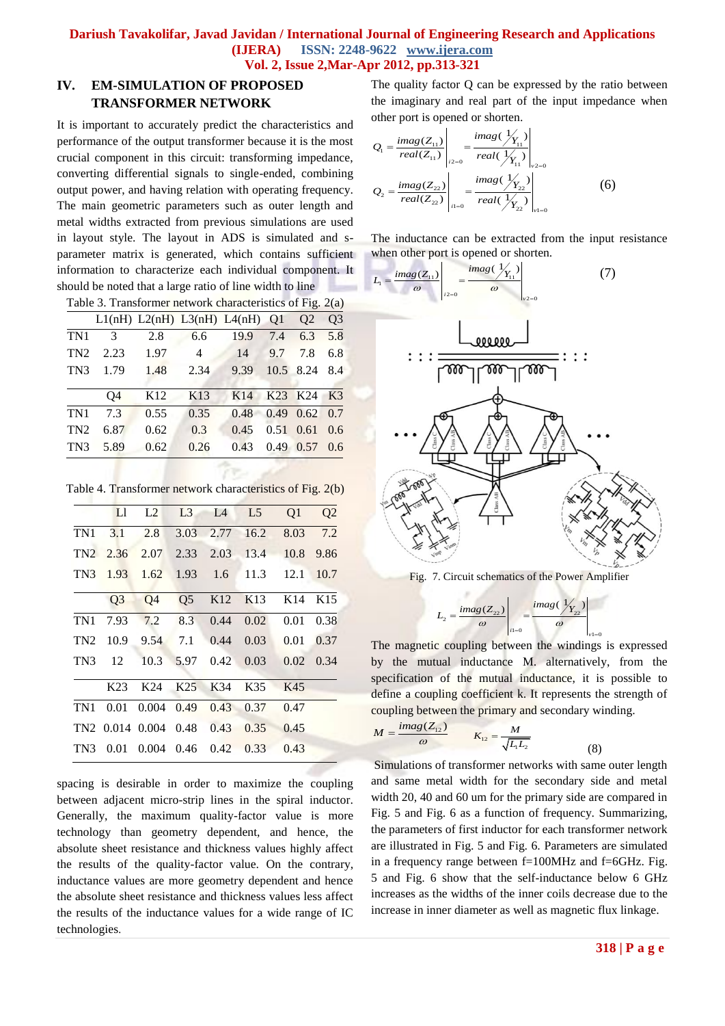# **IV. EM-SIMULATION OF PROPOSED TRANSFORMER NETWORK**

It is important to accurately predict the characteristics and performance of the output transformer because it is the most crucial component in this circuit: transforming impedance, converting differential signals to single-ended, combining output power, and having relation with operating frequency. The main geometric parameters such as outer length and metal widths extracted from previous simulations are used in layout style. The layout in ADS is simulated and sparameter matrix is generated, which contains sufficient information to characterize each individual component. It should be noted that a large ratio of line width to line

Table 3. Transformer network characteristics of Fig. 2(a)

|                 |      |                 | L1(nH) L2(nH) L3(nH) L4(nH) Q1 |      |      | O <sub>2</sub> | O <sub>3</sub> |
|-----------------|------|-----------------|--------------------------------|------|------|----------------|----------------|
| TN1             | 3    | 2.8             | 6.6                            | 19.9 | 7.4  | 6.3            | 5.8            |
| TN <sub>2</sub> | 2.23 | 1.97            | 4                              | 14   | 9.7  | 7.8            | 6.8            |
| TN <sub>3</sub> | 1.79 | 1.48            | 2.34                           | 9.39 |      | 10.5 8.24      | 8.4            |
|                 |      |                 |                                |      |      |                |                |
|                 | O4   | K <sub>12</sub> | K13                            | K14  | K23  | K24            | K3             |
| TN <sub>1</sub> | 7.3  | 0.55            | 0.35                           | 0.48 | 0.49 | 0.62           | 0.7            |
| TN2             | 6.87 | 0.62            | 0.3                            | 0.45 | 0.51 | 0.61           | 0.6            |
| TN <sub>3</sub> | 5.89 | 0.62            | 0.26                           | 0.43 | 0.49 | 0.57           | 0.6            |
|                 |      |                 |                                |      |      |                |                |

Table 4. Transformer network characteristics of Fig. 2(b)

|                 | Ll              | L2             | L <sub>3</sub>  | L4              | L <sub>5</sub>  | Q1              | Q2              |
|-----------------|-----------------|----------------|-----------------|-----------------|-----------------|-----------------|-----------------|
| TN1             | 3.1             | 2.8            | 3.03            | 2.77            | 16.2            | 8.03            | 7.2             |
| TN <sub>2</sub> | 2.36            | 2.07           | 2.33            | 2.03            | 13.4            | 10.8            | 9.86            |
| TN3             | 1.93            | 1.62           | 1.93            | 1.6             | 11.3            | 12.1            | 10.7            |
|                 | Q <sub>3</sub>  | Q <sub>4</sub> | Q <sub>5</sub>  | K <sub>12</sub> | K <sub>13</sub> | K <sub>14</sub> | K <sub>15</sub> |
| TN1             | 7.93            | 7.2            | 8.3             | 0.44            | 0.02            | 0.01            | 0.38            |
| TN <sub>2</sub> | 10.9            | 9.54           | 7.1             | 0.44            | 0.03            | 0.01            | 0.37            |
| TN <sub>3</sub> | 12              | 10.3           | 5.97            | 0.42            | 0.03            | 0.02            | 0.34            |
|                 | K <sub>23</sub> | K24            | K <sub>25</sub> | K34             | K35             | K45             |                 |
| TN1             | 0.01            | 0.004          | 0.49            | 0.43            | 0.37            | 0.47            |                 |
|                 | TN2 0.014 0.004 |                | 0.48            | 0.43            | 0.35            | 0.45            |                 |
| TN <sub>3</sub> | 0.01            | 0.004          | 0.46            | 0.42            | 0.33            | 0.43            |                 |

spacing is desirable in order to maximize the coupling between adjacent micro-strip lines in the spiral inductor. Generally, the maximum quality-factor value is more technology than geometry dependent, and hence, the absolute sheet resistance and thickness values highly affect the results of the quality-factor value. On the contrary, inductance values are more geometry dependent and hence the absolute sheet resistance and thickness values less affect the results of the inductance values for a wide range of IC technologies.

The quality factor Q can be expressed by the ratio between the imaginary and real part of the input impedance when

other port is opened or shorten.  
\n
$$
Q_{1} = \frac{imag(Z_{11})}{real(Z_{11})}\Big|_{z=0} = \frac{imag(\frac{1}{Y_{11}})}{real(\frac{1}{Y_{11}})}\Big|_{v=0}
$$
\n
$$
Q_{2} = \frac{imag(Z_{22})}{real(Z_{22})}\Big|_{z=0} = \frac{imag(\frac{1}{Y_{22}})}{real(\frac{1}{Y_{22}})}\Big|_{v=0}
$$
\n(6)

The inductance can be extracted from the input resistance

when other port is opened or shorten.  
\n
$$
L_{1} = \frac{imag(Z_{11})}{\omega} \Bigg|_{z=0} = \frac{imag(\frac{1}{Y_{11}})}{\omega} \Bigg|_{y=0}
$$
\n(7)



Fig. 7. Circuit schematics of the Power Amplifier

$$
L_2 = \frac{imag(Z_{22})}{\omega}\left|\frac{imag(\frac{1}{Y_{22}})}{\omega}\right|_{y_1=0}
$$

The magnetic coupling between the windings is expressed by the mutual inductance M. alternatively, from the specification of the mutual inductance, it is possible to define a coupling coefficient k. It represents the strength of coupling between the primary and secondary winding.

$$
M = \frac{imag(Z_{12})}{\omega} \qquad K_{12} = \frac{M}{\sqrt{L_1 L_2}}
$$

Simulations of transformer networks with same outer length and same metal width for the secondary side and metal width 20, 40 and 60 um for the primary side are compared in Fig. 5 and Fig. 6 as a function of frequency. Summarizing, the parameters of first inductor for each transformer network are illustrated in Fig. 5 and Fig. 6. Parameters are simulated in a frequency range between f=100MHz and f=6GHz. Fig. 5 and Fig. 6 show that the self-inductance below 6 GHz increases as the widths of the inner coils decrease due to the increase in inner diameter as well as magnetic flux linkage.

(8)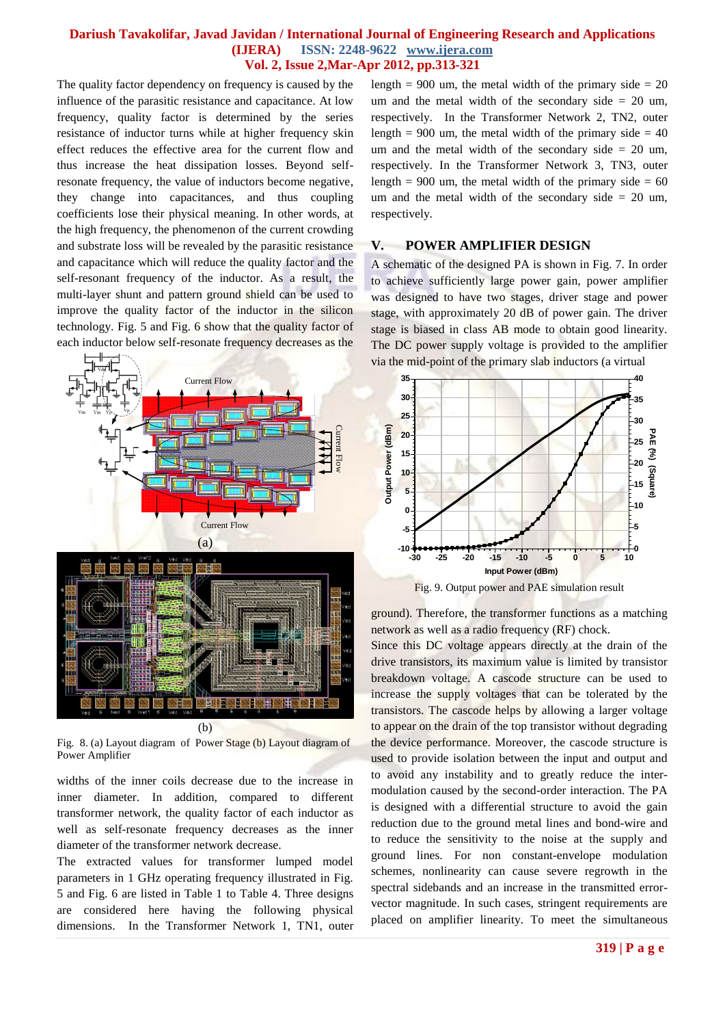The quality factor dependency on frequency is caused by the influence of the parasitic resistance and capacitance. At low frequency, quality factor is determined by the series resistance of inductor turns while at higher frequency skin effect reduces the effective area for the current flow and thus increase the heat dissipation losses. Beyond selfresonate frequency, the value of inductors become negative, they change into capacitances, and thus coupling coefficients lose their physical meaning. In other words, at the high frequency, the phenomenon of the current crowding and substrate loss will be revealed by the parasitic resistance and capacitance which will reduce the quality factor and the self-resonant frequency of the inductor. As a result, the multi-layer shunt and pattern ground shield can be used to improve the quality factor of the inductor in the silicon technology. Fig. 5 and Fig. 6 show that the quality factor of each inductor below self-resonate frequency decreases as the



Fig. 8. (a) Layout diagram of Power Stage (b) Layout diagram of Power Amplifier

widths of the inner coils decrease due to the increase in inner diameter. In addition, compared to different transformer network, the quality factor of each inductor as well as self-resonate frequency decreases as the inner diameter of the transformer network decrease.

The extracted values for transformer lumped model parameters in 1 GHz operating frequency illustrated in Fig. 5 and Fig. 6 are listed in Table 1 to Table 4. Three designs are considered here having the following physical dimensions. In the Transformer Network 1, TN1, outer length =  $900$  um, the metal width of the primary side =  $20$ um and the metal width of the secondary side  $= 20$  um, respectively. In the Transformer Network 2, TN2, outer length = 900 um, the metal width of the primary side =  $40$ um and the metal width of the secondary side  $= 20$  um, respectively. In the Transformer Network 3, TN3, outer length =  $900$  um, the metal width of the primary side =  $60$ um and the metal width of the secondary side  $= 20$  um, respectively.

#### **V. POWER AMPLIFIER DESIGN**

A schematic of the designed PA is shown in Fig. 7. In order to achieve sufficiently large power gain, power amplifier was designed to have two stages, driver stage and power stage, with approximately 20 dB of power gain. The driver stage is biased in class AB mode to obtain good linearity. The DC power supply voltage is provided to the amplifier via the mid-point of the primary slab inductors (a virtual



Fig. 9. Output power and PAE simulation result

ground). Therefore, the transformer functions as a matching network as well as a radio frequency (RF) chock.

Since this DC voltage appears directly at the drain of the drive transistors, its maximum value is limited by transistor breakdown voltage. A cascode structure can be used to increase the supply voltages that can be tolerated by the transistors. The cascode helps by allowing a larger voltage to appear on the drain of the top transistor without degrading the device performance. Moreover, the cascode structure is used to provide isolation between the input and output and to avoid any instability and to greatly reduce the intermodulation caused by the second-order interaction. The PA is designed with a differential structure to avoid the gain reduction due to the ground metal lines and bond-wire and to reduce the sensitivity to the noise at the supply and ground lines. For non constant-envelope modulation schemes, nonlinearity can cause severe regrowth in the spectral sidebands and an increase in the transmitted errorvector magnitude. In such cases, stringent requirements are placed on amplifier linearity. To meet the simultaneous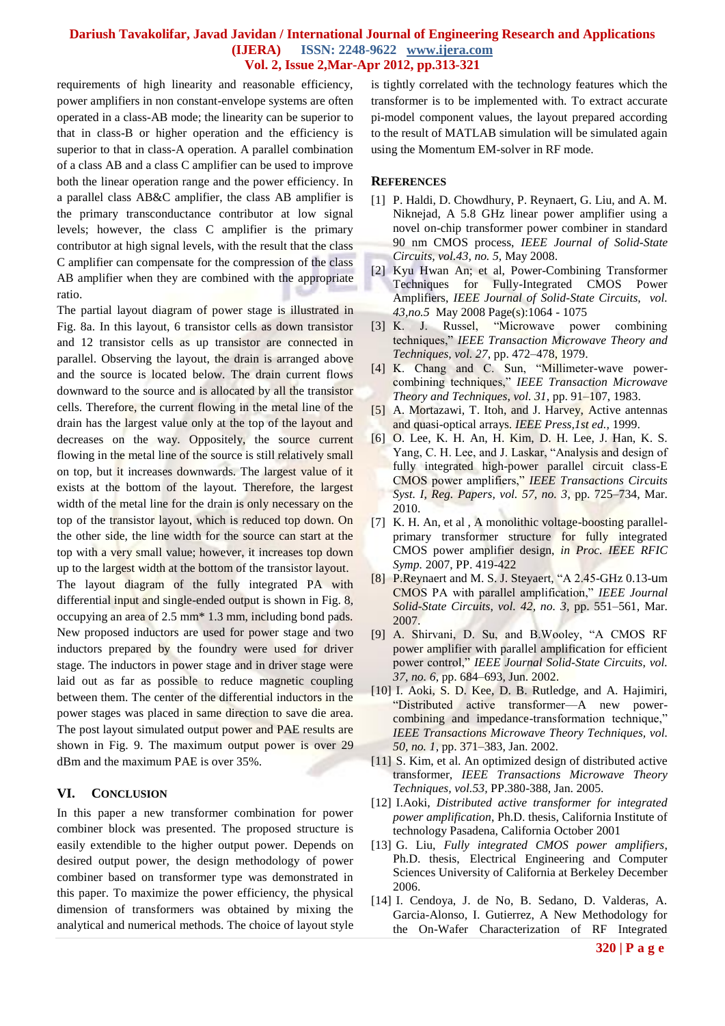requirements of high linearity and reasonable efficiency, power amplifiers in non constant-envelope systems are often operated in a class-AB mode; the linearity can be superior to that in class-B or higher operation and the efficiency is superior to that in class-A operation. A parallel combination of a class AB and a class C amplifier can be used to improve both the linear operation range and the power efficiency. In a parallel class AB&C amplifier, the class AB amplifier is the primary transconductance contributor at low signal levels; however, the class C amplifier is the primary contributor at high signal levels, with the result that the class C amplifier can compensate for the compression of the class AB amplifier when they are combined with the appropriate ratio.

The partial layout diagram of power stage is illustrated in Fig. 8a. In this layout, 6 transistor cells as down transistor and 12 transistor cells as up transistor are connected in parallel. Observing the layout, the drain is arranged above and the source is located below. The drain current flows downward to the source and is allocated by all the transistor cells. Therefore, the current flowing in the metal line of the drain has the largest value only at the top of the layout and decreases on the way. Oppositely, the source current flowing in the metal line of the source is still relatively small on top, but it increases downwards. The largest value of it exists at the bottom of the layout. Therefore, the largest width of the metal line for the drain is only necessary on the top of the transistor layout, which is reduced top down. On the other side, the line width for the source can start at the top with a very small value; however, it increases top down up to the largest width at the bottom of the transistor layout. The layout diagram of the fully integrated PA with differential input and single-ended output is shown in Fig. 8, occupying an area of 2.5 mm\* 1.3 mm, including bond pads. New proposed inductors are used for power stage and two inductors prepared by the foundry were used for driver stage. The inductors in power stage and in driver stage were laid out as far as possible to reduce magnetic coupling between them. The center of the differential inductors in the power stages was placed in same direction to save die area. The post layout simulated output power and PAE results are shown in Fig. 9. The maximum output power is over 29 dBm and the maximum PAE is over 35%.

#### **VI. CONCLUSION**

In this paper a new transformer combination for power combiner block was presented. The proposed structure is easily extendible to the higher output power. Depends on desired output power, the design methodology of power combiner based on transformer type was demonstrated in this paper. To maximize the power efficiency, the physical dimension of transformers was obtained by mixing the analytical and numerical methods. The choice of layout style is tightly correlated with the technology features which the transformer is to be implemented with. To extract accurate pi-model component values, the layout prepared according to the result of MATLAB simulation will be simulated again using the Momentum EM-solver in RF mode.

#### **REFERENCES**

- [1] P. Haldi, D. Chowdhury, P. Reynaert, G. Liu, and A. M. Niknejad, A 5.8 GHz linear power amplifier using a novel on-chip transformer power combiner in standard 90 nm CMOS process, *IEEE Journal of Solid-State Circuits, vol.43, no. 5,* May 2008.
- [2] Kyu Hwan An; et al, Power-Combining Transformer Techniques for Fully-Integrated CMOS Power Amplifiers, *IEEE Journal of [Solid-State Circuits,](http://ieeexplore.ieee.org/xpl/RecentIssue.jsp?punumber=4) vol. 43,no.5* May 2008 Page(s):1064 - 1075
- [3] K. J. Russel, "Microwave power combining techniques,‖ *IEEE Transaction Microwave Theory and Techniques, vol. 27*, pp. 472–478, 1979.
- [4] K. Chang and C. Sun, "Millimeter-wave powercombining techniques," IEEE Transaction Microwave *Theory and Techniques*, *vol. 31*, pp. 91–107, 1983.
- [5] A. Mortazawi, T. Itoh, and J. Harvey, Active antennas and quasi-optical arrays. *IEEE Press,1st ed.,* 1999.
- [6] O. Lee, K. H. An, H. Kim, D. H. Lee, J. Han, K. S. Yang, C. H. Lee, and J. Laskar, "Analysis and design of fully integrated high-power parallel circuit class-E CMOS power amplifiers,‖ *IEEE Transactions Circuits Syst. I, Reg. Papers, vol. 57, no. 3*, pp. 725–734, Mar. 2010.
- [7] K. H. An, et al , A monolithic voltage-boosting parallelprimary transformer structure for fully integrated CMOS power amplifier design, *in Proc. IEEE RFIC Symp.* 2007, PP. 419-422
- [8] P.Reynaert and M. S. J. Steyaert, "A 2.45-GHz 0.13-um CMOS PA with parallel amplification,‖ *IEEE Journal Solid-State Circuits*, *vol. 42, no. 3,* pp. 551–561, Mar. 2007.
- [9] A. Shirvani, D. Su, and B. Wooley, "A CMOS RF power amplifier with parallel amplification for efficient power control,‖ *IEEE Journal Solid-State Circuits*, *vol. 37*, *no. 6*, pp. 684–693, Jun. 2002.
- [10] I. Aoki, S. D. Kee, D. B. Rutledge, and A. Hajimiri, ―Distributed active transformer—A new powercombining and impedance-transformation technique," *IEEE Transactions Microwave Theory Techniques, vol. 50, no. 1*, pp. 371–383, Jan. 2002.
- [11] S. Kim, et al. An optimized design of distributed active transformer, *IEEE Transactions Microwave Theory Techniques, vol.53,* PP.380-388, Jan. 2005.
- [12] I.Aoki, *Distributed active transformer for integrated power amplification*, Ph.D. thesis, California Institute of technology Pasadena, California October 2001
- [13] G. Liu, *Fully integrated CMOS power amplifiers*, Ph.D. thesis, Electrical Engineering and Computer Sciences University of California at Berkeley December 2006.
- [14] I. Cendoya, J. de No, B. Sedano, D. Valderas, A. Garcia-Alonso, I. Gutierrez, A New Methodology for the On-Wafer Characterization of RF Integrated